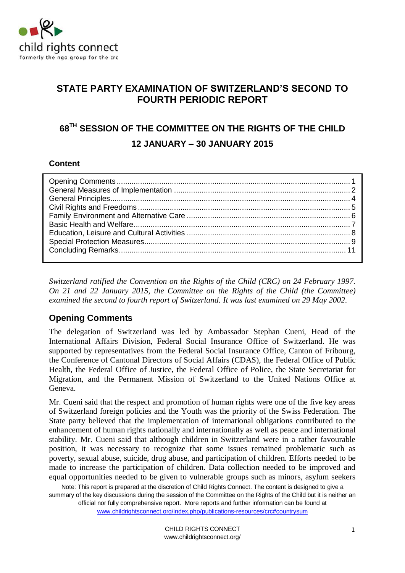

# **STATE PARTY EXAMINATION OF SWITZERLAND'S SECOND TO FOURTH PERIODIC REPORT**

# **68TH SESSION OF THE COMMITTEE ON THE RIGHTS OF THE CHILD 12 JANUARY – 30 JANUARY 2015**

### **Content**

*Switzerland ratified the Convention on the Rights of the Child (CRC) on 24 February 1997. On 21 and 22 January 2015, the Committee on the Rights of the Child (the Committee) examined the second to fourth report of Switzerland. It was last examined on 29 May 2002.* 

# **Opening Comments**

The delegation of Switzerland was led by Ambassador Stephan Cueni, Head of the International Affairs Division, Federal Social Insurance Office of Switzerland. He was supported by representatives from the Federal Social Insurance Office, Canton of Fribourg, the Conference of Cantonal Directors of Social Affairs (CDAS), the Federal Office of Public Health, the Federal Office of Justice, the Federal Office of Police, the State Secretariat for Migration, and the Permanent Mission of Switzerland to the United Nations Office at Geneva.

Mr. Cueni said that the respect and promotion of human rights were one of the five key areas of Switzerland foreign policies and the Youth was the priority of the Swiss Federation. The State party believed that the implementation of international obligations contributed to the enhancement of human rights nationally and internationally as well as peace and international stability. Mr. Cueni said that although children in Switzerland were in a rather favourable position, it was necessary to recognize that some issues remained problematic such as poverty, sexual abuse, suicide, drug abuse, and participation of children. Efforts needed to be made to increase the participation of children. Data collection needed to be improved and equal opportunities needed to be given to vulnerable groups such as minors, asylum seekers

Note: This report is prepared at the discretion of Child Rights Connect. The content is designed to give a summary of the key discussions during the session of the Committee on the Rights of the Child but it is neither an official nor fully comprehensive report. More reports and further information can be found at

www.childrightsconnect.org/index.php/publications-resources/crc#countrysum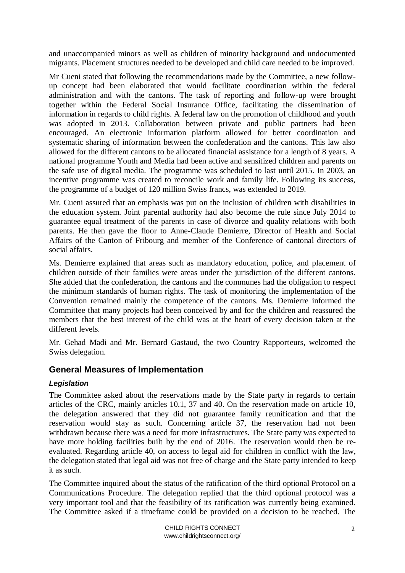and unaccompanied minors as well as children of minority background and undocumented migrants. Placement structures needed to be developed and child care needed to be improved.

Mr Cueni stated that following the recommendations made by the Committee, a new followup concept had been elaborated that would facilitate coordination within the federal administration and with the cantons. The task of reporting and follow-up were brought together within the Federal Social Insurance Office, facilitating the dissemination of information in regards to child rights. A federal law on the promotion of childhood and youth was adopted in 2013. Collaboration between private and public partners had been encouraged. An electronic information platform allowed for better coordination and systematic sharing of information between the confederation and the cantons. This law also allowed for the different cantons to be allocated financial assistance for a length of 8 years. A national programme Youth and Media had been active and sensitized children and parents on the safe use of digital media. The programme was scheduled to last until 2015. In 2003, an incentive programme was created to reconcile work and family life. Following its success, the programme of a budget of 120 million Swiss francs, was extended to 2019.

Mr. Cueni assured that an emphasis was put on the inclusion of children with disabilities in the education system. Joint parental authority had also become the rule since July 2014 to guarantee equal treatment of the parents in case of divorce and quality relations with both parents. He then gave the floor to Anne-Claude Demierre, Director of Health and Social Affairs of the Canton of Fribourg and member of the Conference of cantonal directors of social affairs.

Ms. Demierre explained that areas such as mandatory education, police, and placement of children outside of their families were areas under the jurisdiction of the different cantons. She added that the confederation, the cantons and the communes had the obligation to respect the minimum standards of human rights. The task of monitoring the implementation of the Convention remained mainly the competence of the cantons. Ms. Demierre informed the Committee that many projects had been conceived by and for the children and reassured the members that the best interest of the child was at the heart of every decision taken at the different levels.

Mr. Gehad Madi and Mr. Bernard Gastaud, the two Country Rapporteurs, welcomed the Swiss delegation.

# **General Measures of Implementation**

### *Legislation*

The Committee asked about the reservations made by the State party in regards to certain articles of the CRC, mainly articles 10.1, 37 and 40. On the reservation made on article 10, the delegation answered that they did not guarantee family reunification and that the reservation would stay as such. Concerning article 37, the reservation had not been withdrawn because there was a need for more infrastructures. The State party was expected to have more holding facilities built by the end of 2016. The reservation would then be reevaluated. Regarding article 40, on access to legal aid for children in conflict with the law, the delegation stated that legal aid was not free of charge and the State party intended to keep it as such.

The Committee inquired about the status of the ratification of the third optional Protocol on a Communications Procedure. The delegation replied that the third optional protocol was a very important tool and that the feasibility of its ratification was currently being examined. The Committee asked if a timeframe could be provided on a decision to be reached. The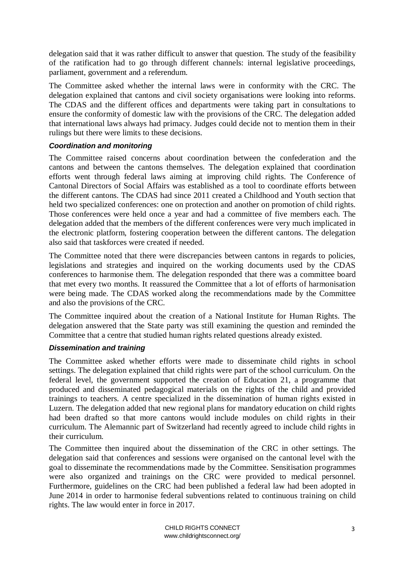delegation said that it was rather difficult to answer that question. The study of the feasibility of the ratification had to go through different channels: internal legislative proceedings, parliament, government and a referendum.

The Committee asked whether the internal laws were in conformity with the CRC. The delegation explained that cantons and civil society organisations were looking into reforms. The CDAS and the different offices and departments were taking part in consultations to ensure the conformity of domestic law with the provisions of the CRC. The delegation added that international laws always had primacy. Judges could decide not to mention them in their rulings but there were limits to these decisions.

### *Coordination and monitoring*

The Committee raised concerns about coordination between the confederation and the cantons and between the cantons themselves. The delegation explained that coordination efforts went through federal laws aiming at improving child rights. The Conference of Cantonal Directors of Social Affairs was established as a tool to coordinate efforts between the different cantons. The CDAS had since 2011 created a Childhood and Youth section that held two specialized conferences: one on protection and another on promotion of child rights. Those conferences were held once a year and had a committee of five members each. The delegation added that the members of the different conferences were very much implicated in the electronic platform, fostering cooperation between the different cantons. The delegation also said that taskforces were created if needed.

The Committee noted that there were discrepancies between cantons in regards to policies, legislations and strategies and inquired on the working documents used by the CDAS conferences to harmonise them. The delegation responded that there was a committee board that met every two months. It reassured the Committee that a lot of efforts of harmonisation were being made. The CDAS worked along the recommendations made by the Committee and also the provisions of the CRC.

The Committee inquired about the creation of a National Institute for Human Rights. The delegation answered that the State party was still examining the question and reminded the Committee that a centre that studied human rights related questions already existed.

### *Dissemination and training*

The Committee asked whether efforts were made to disseminate child rights in school settings. The delegation explained that child rights were part of the school curriculum. On the federal level, the government supported the creation of Education 21, a programme that produced and disseminated pedagogical materials on the rights of the child and provided trainings to teachers. A centre specialized in the dissemination of human rights existed in Luzern. The delegation added that new regional plans for mandatory education on child rights had been drafted so that more cantons would include modules on child rights in their curriculum. The Alemannic part of Switzerland had recently agreed to include child rights in their curriculum.

The Committee then inquired about the dissemination of the CRC in other settings. The delegation said that conferences and sessions were organised on the cantonal level with the goal to disseminate the recommendations made by the Committee. Sensitisation programmes were also organized and trainings on the CRC were provided to medical personnel. Furthermore, guidelines on the CRC had been published a federal law had been adopted in June 2014 in order to harmonise federal subventions related to continuous training on child rights. The law would enter in force in 2017.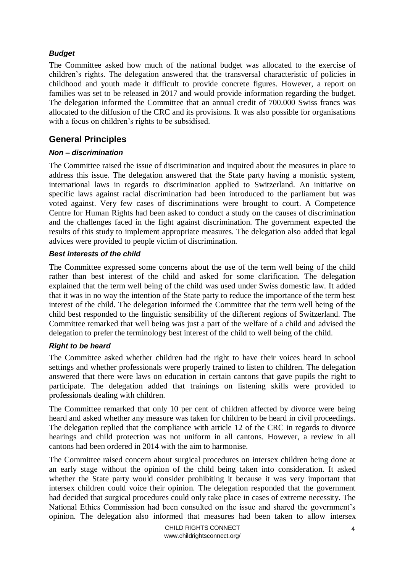### *Budget*

The Committee asked how much of the national budget was allocated to the exercise of children's rights. The delegation answered that the transversal characteristic of policies in childhood and youth made it difficult to provide concrete figures. However, a report on families was set to be released in 2017 and would provide information regarding the budget. The delegation informed the Committee that an annual credit of 700.000 Swiss francs was allocated to the diffusion of the CRC and its provisions. It was also possible for organisations with a focus on children's rights to be subsidised.

# **General Principles**

### *Non – discrimination*

The Committee raised the issue of discrimination and inquired about the measures in place to address this issue. The delegation answered that the State party having a monistic system, international laws in regards to discrimination applied to Switzerland. An initiative on specific laws against racial discrimination had been introduced to the parliament but was voted against. Very few cases of discriminations were brought to court. A Competence Centre for Human Rights had been asked to conduct a study on the causes of discrimination and the challenges faced in the fight against discrimination. The government expected the results of this study to implement appropriate measures. The delegation also added that legal advices were provided to people victim of discrimination.

### *Best interests of the child*

The Committee expressed some concerns about the use of the term well being of the child rather than best interest of the child and asked for some clarification. The delegation explained that the term well being of the child was used under Swiss domestic law. It added that it was in no way the intention of the State party to reduce the importance of the term best interest of the child. The delegation informed the Committee that the term well being of the child best responded to the linguistic sensibility of the different regions of Switzerland. The Committee remarked that well being was just a part of the welfare of a child and advised the delegation to prefer the terminology best interest of the child to well being of the child.

# *Right to be heard*

The Committee asked whether children had the right to have their voices heard in school settings and whether professionals were properly trained to listen to children. The delegation answered that there were laws on education in certain cantons that gave pupils the right to participate. The delegation added that trainings on listening skills were provided to professionals dealing with children.

The Committee remarked that only 10 per cent of children affected by divorce were being heard and asked whether any measure was taken for children to be heard in civil proceedings. The delegation replied that the compliance with article 12 of the CRC in regards to divorce hearings and child protection was not uniform in all cantons. However, a review in all cantons had been ordered in 2014 with the aim to harmonise.

The Committee raised concern about surgical procedures on intersex children being done at an early stage without the opinion of the child being taken into consideration. It asked whether the State party would consider prohibiting it because it was very important that intersex children could voice their opinion. The delegation responded that the government had decided that surgical procedures could only take place in cases of extreme necessity. The National Ethics Commission had been consulted on the issue and shared the government's opinion. The delegation also informed that measures had been taken to allow intersex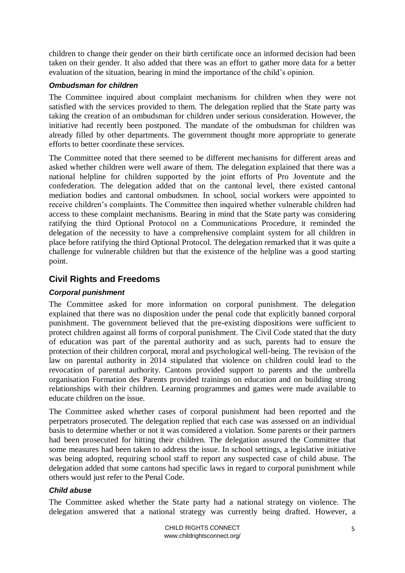children to change their gender on their birth certificate once an informed decision had been taken on their gender. It also added that there was an effort to gather more data for a better evaluation of the situation, bearing in mind the importance of the child's opinion.

### *Ombudsman for children*

The Committee inquired about complaint mechanisms for children when they were not satisfied with the services provided to them. The delegation replied that the State party was taking the creation of an ombudsman for children under serious consideration. However, the initiative had recently been postponed. The mandate of the ombudsman for children was already filled by other departments. The government thought more appropriate to generate efforts to better coordinate these services.

The Committee noted that there seemed to be different mechanisms for different areas and asked whether children were well aware of them. The delegation explained that there was a national helpline for children supported by the joint efforts of Pro Joventute and the confederation. The delegation added that on the cantonal level, there existed cantonal mediation bodies and cantonal ombudsmen. In school, social workers were appointed to receive children's complaints. The Committee then inquired whether vulnerable children had access to these complaint mechanisms. Bearing in mind that the State party was considering ratifying the third Optional Protocol on a Communications Procedure, it reminded the delegation of the necessity to have a comprehensive complaint system for all children in place before ratifying the third Optional Protocol. The delegation remarked that it was quite a challenge for vulnerable children but that the existence of the helpline was a good starting point.

# **Civil Rights and Freedoms**

# *Corporal punishment*

The Committee asked for more information on corporal punishment. The delegation explained that there was no disposition under the penal code that explicitly banned corporal punishment. The government believed that the pre-existing dispositions were sufficient to protect children against all forms of corporal punishment. The Civil Code stated that the duty of education was part of the parental authority and as such, parents had to ensure the protection of their children corporal, moral and psychological well-being. The revision of the law on parental authority in 2014 stipulated that violence on children could lead to the revocation of parental authority. Cantons provided support to parents and the umbrella organisation Formation des Parents provided trainings on education and on building strong relationships with their children. Learning programmes and games were made available to educate children on the issue.

The Committee asked whether cases of corporal punishment had been reported and the perpetrators prosecuted. The delegation replied that each case was assessed on an individual basis to determine whether or not it was considered a violation. Some parents or their partners had been prosecuted for hitting their children. The delegation assured the Committee that some measures had been taken to address the issue. In school settings, a legislative initiative was being adopted, requiring school staff to report any suspected case of child abuse. The delegation added that some cantons had specific laws in regard to corporal punishment while others would just refer to the Penal Code.

### *Child abuse*

The Committee asked whether the State party had a national strategy on violence. The delegation answered that a national strategy was currently being drafted. However, a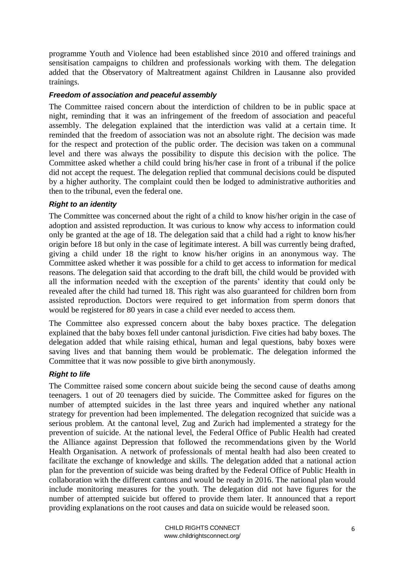programme Youth and Violence had been established since 2010 and offered trainings and sensitisation campaigns to children and professionals working with them. The delegation added that the Observatory of Maltreatment against Children in Lausanne also provided trainings.

### *Freedom of association and peaceful assembly*

The Committee raised concern about the interdiction of children to be in public space at night, reminding that it was an infringement of the freedom of association and peaceful assembly. The delegation explained that the interdiction was valid at a certain time. It reminded that the freedom of association was not an absolute right. The decision was made for the respect and protection of the public order. The decision was taken on a communal level and there was always the possibility to dispute this decision with the police. The Committee asked whether a child could bring his/her case in front of a tribunal if the police did not accept the request. The delegation replied that communal decisions could be disputed by a higher authority. The complaint could then be lodged to administrative authorities and then to the tribunal, even the federal one.

#### *Right to an identity*

The Committee was concerned about the right of a child to know his/her origin in the case of adoption and assisted reproduction. It was curious to know why access to information could only be granted at the age of 18. The delegation said that a child had a right to know his/her origin before 18 but only in the case of legitimate interest. A bill was currently being drafted, giving a child under 18 the right to know his/her origins in an anonymous way. The Committee asked whether it was possible for a child to get access to information for medical reasons. The delegation said that according to the draft bill, the child would be provided with all the information needed with the exception of the parents' identity that could only be revealed after the child had turned 18. This right was also guaranteed for children born from assisted reproduction. Doctors were required to get information from sperm donors that would be registered for 80 years in case a child ever needed to access them.

The Committee also expressed concern about the baby boxes practice. The delegation explained that the baby boxes fell under cantonal jurisdiction. Five cities had baby boxes. The delegation added that while raising ethical, human and legal questions, baby boxes were saving lives and that banning them would be problematic. The delegation informed the Committee that it was now possible to give birth anonymously.

### *Right to life*

The Committee raised some concern about suicide being the second cause of deaths among teenagers. 1 out of 20 teenagers died by suicide. The Committee asked for figures on the number of attempted suicides in the last three years and inquired whether any national strategy for prevention had been implemented. The delegation recognized that suicide was a serious problem. At the cantonal level, Zug and Zurich had implemented a strategy for the prevention of suicide. At the national level, the Federal Office of Public Health had created the Alliance against Depression that followed the recommendations given by the World Health Organisation. A network of professionals of mental health had also been created to facilitate the exchange of knowledge and skills. The delegation added that a national action plan for the prevention of suicide was being drafted by the Federal Office of Public Health in collaboration with the different cantons and would be ready in 2016. The national plan would include monitoring measures for the youth. The delegation did not have figures for the number of attempted suicide but offered to provide them later. It announced that a report providing explanations on the root causes and data on suicide would be released soon.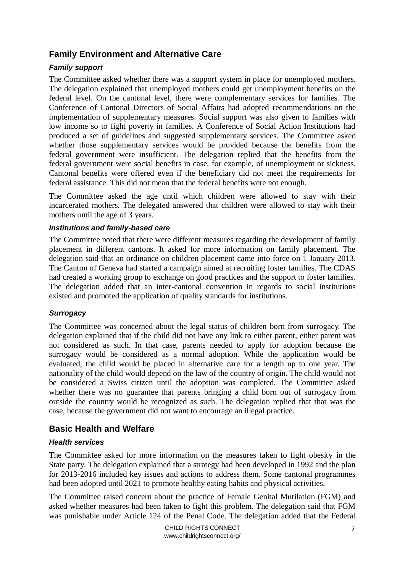# **Family Environment and Alternative Care**

### *Family support*

The Committee asked whether there was a support system in place for unemployed mothers. The delegation explained that unemployed mothers could get unemployment benefits on the federal level. On the cantonal level, there were complementary services for families. The Conference of Cantonal Directors of Social Affairs had adopted recommendations on the implementation of supplementary measures. Social support was also given to families with low income so to fight poverty in families. A Conference of Social Action Institutions had produced a set of guidelines and suggested supplementary services. The Committee asked whether those supplementary services would be provided because the benefits from the federal government were insufficient. The delegation replied that the benefits from the federal government were social benefits in case, for example, of unemployment or sickness. Cantonal benefits were offered even if the beneficiary did not meet the requirements for federal assistance. This did not mean that the federal benefits were not enough.

The Committee asked the age until which children were allowed to stay with their incarcerated mothers. The delegated answered that children were allowed to stay with their mothers until the age of 3 years.

#### *Institutions and family-based care*

The Committee noted that there were different measures regarding the development of family placement in different cantons. It asked for more information on family placement. The delegation said that an ordinance on children placement came into force on 1 January 2013. The Canton of Geneva had started a campaign aimed at recruiting foster families. The CDAS had created a working group to exchange on good practices and the support to foster families. The delegation added that an inter-cantonal convention in regards to social institutions existed and promoted the application of quality standards for institutions.

### *Surrogacy*

The Committee was concerned about the legal status of children born from surrogacy. The delegation explained that if the child did not have any link to either parent, either parent was not considered as such. In that case, parents needed to apply for adoption because the surrogacy would be considered as a normal adoption. While the application would be evaluated, the child would be placed in alternative care for a length up to one year. The nationality of the child would depend on the law of the country of origin. The child would not be considered a Swiss citizen until the adoption was completed. The Committee asked whether there was no guarantee that parents bringing a child born out of surrogacy from outside the country would be recognized as such. The delegation replied that that was the case, because the government did not want to encourage an illegal practice.

# **Basic Health and Welfare**

### *Health services*

The Committee asked for more information on the measures taken to fight obesity in the State party. The delegation explained that a strategy had been developed in 1992 and the plan for 2013-2016 included key issues and actions to address them. Some cantonal programmes had been adopted until 2021 to promote healthy eating habits and physical activities.

The Committee raised concern about the practice of Female Genital Mutilation (FGM) and asked whether measures had been taken to fight this problem. The delegation said that FGM was punishable under Article 124 of the Penal Code. The delegation added that the Federal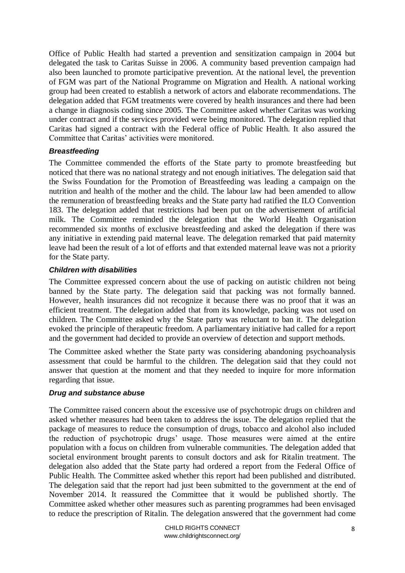Office of Public Health had started a prevention and sensitization campaign in 2004 but delegated the task to Caritas Suisse in 2006. A community based prevention campaign had also been launched to promote participative prevention. At the national level, the prevention of FGM was part of the National Programme on Migration and Health. A national working group had been created to establish a network of actors and elaborate recommendations. The delegation added that FGM treatments were covered by health insurances and there had been a change in diagnosis coding since 2005. The Committee asked whether Caritas was working under contract and if the services provided were being monitored. The delegation replied that Caritas had signed a contract with the Federal office of Public Health. It also assured the Committee that Caritas' activities were monitored.

#### *Breastfeeding*

The Committee commended the efforts of the State party to promote breastfeeding but noticed that there was no national strategy and not enough initiatives. The delegation said that the Swiss Foundation for the Promotion of Breastfeeding was leading a campaign on the nutrition and health of the mother and the child. The labour law had been amended to allow the remuneration of breastfeeding breaks and the State party had ratified the ILO Convention 183. The delegation added that restrictions had been put on the advertisement of artificial milk. The Committee reminded the delegation that the World Health Organisation recommended six months of exclusive breastfeeding and asked the delegation if there was any initiative in extending paid maternal leave. The delegation remarked that paid maternity leave had been the result of a lot of efforts and that extended maternal leave was not a priority for the State party.

#### *Children with disabilities*

The Committee expressed concern about the use of packing on autistic children not being banned by the State party. The delegation said that packing was not formally banned. However, health insurances did not recognize it because there was no proof that it was an efficient treatment. The delegation added that from its knowledge, packing was not used on children. The Committee asked why the State party was reluctant to ban it. The delegation evoked the principle of therapeutic freedom. A parliamentary initiative had called for a report and the government had decided to provide an overview of detection and support methods.

The Committee asked whether the State party was considering abandoning psychoanalysis assessment that could be harmful to the children. The delegation said that they could not answer that question at the moment and that they needed to inquire for more information regarding that issue.

#### *Drug and substance abuse*

The Committee raised concern about the excessive use of psychotropic drugs on children and asked whether measures had been taken to address the issue. The delegation replied that the package of measures to reduce the consumption of drugs, tobacco and alcohol also included the reduction of psychotropic drugs' usage. Those measures were aimed at the entire population with a focus on children from vulnerable communities. The delegation added that societal environment brought parents to consult doctors and ask for Ritalin treatment. The delegation also added that the State party had ordered a report from the Federal Office of Public Health. The Committee asked whether this report had been published and distributed. The delegation said that the report had just been submitted to the government at the end of November 2014. It reassured the Committee that it would be published shortly. The Committee asked whether other measures such as parenting programmes had been envisaged to reduce the prescription of Ritalin. The delegation answered that the government had come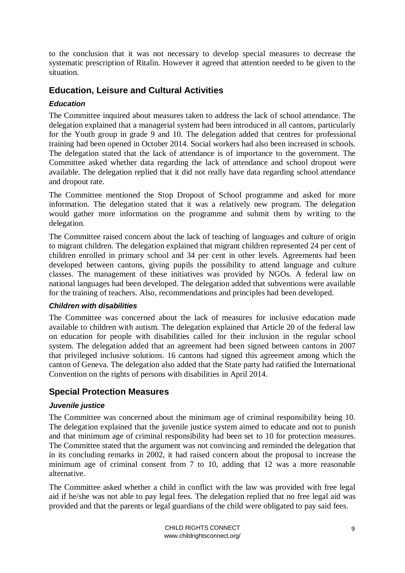to the conclusion that it was not necessary to develop special measures to decrease the systematic prescription of Ritalin. However it agreed that attention needed to be given to the situation.

# **Education, Leisure and Cultural Activities**

### *Education*

The Committee inquired about measures taken to address the lack of school attendance. The delegation explained that a managerial system had been introduced in all cantons, particularly for the Youth group in grade 9 and 10. The delegation added that centres for professional training had been opened in October 2014. Social workers had also been increased in schools. The delegation stated that the lack of attendance is of importance to the government. The Committee asked whether data regarding the lack of attendance and school dropout were available. The delegation replied that it did not really have data regarding school attendance and dropout rate.

The Committee mentioned the Stop Dropout of School programme and asked for more information. The delegation stated that it was a relatively new program. The delegation would gather more information on the programme and submit them by writing to the delegation.

The Committee raised concern about the lack of teaching of languages and culture of origin to migrant children. The delegation explained that migrant children represented 24 per cent of children enrolled in primary school and 34 per cent in other levels. Agreements had been developed between cantons, giving pupils the possibility to attend language and culture classes. The management of these initiatives was provided by NGOs. A federal law on national languages had been developed. The delegation added that subventions were available for the training of teachers. Also, recommendations and principles had been developed.

### *Children with disabilities*

The Committee was concerned about the lack of measures for inclusive education made available to children with autism. The delegation explained that Article 20 of the federal law on education for people with disabilities called for their inclusion in the regular school system. The delegation added that an agreement had been signed between cantons in 2007 that privileged inclusive solutions. 16 cantons had signed this agreement among which the canton of Geneva. The delegation also added that the State party had ratified the International Convention on the rights of persons with disabilities in April 2014.

# **Special Protection Measures**

### *Juvenile justice*

The Committee was concerned about the minimum age of criminal responsibility being 10. The delegation explained that the juvenile justice system aimed to educate and not to punish and that minimum age of criminal responsibility had been set to 10 for protection measures. The Committee stated that the argument was not convincing and reminded the delegation that in its concluding remarks in 2002, it had raised concern about the proposal to increase the minimum age of criminal consent from 7 to 10, adding that 12 was a more reasonable alternative.

The Committee asked whether a child in conflict with the law was provided with free legal aid if he/she was not able to pay legal fees. The delegation replied that no free legal aid was provided and that the parents or legal guardians of the child were obligated to pay said fees.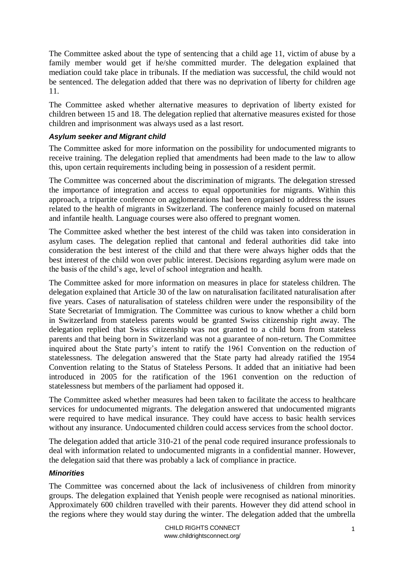The Committee asked about the type of sentencing that a child age 11, victim of abuse by a family member would get if he/she committed murder. The delegation explained that mediation could take place in tribunals. If the mediation was successful, the child would not be sentenced. The delegation added that there was no deprivation of liberty for children age 11.

The Committee asked whether alternative measures to deprivation of liberty existed for children between 15 and 18. The delegation replied that alternative measures existed for those children and imprisonment was always used as a last resort.

### *Asylum seeker and Migrant child*

The Committee asked for more information on the possibility for undocumented migrants to receive training. The delegation replied that amendments had been made to the law to allow this, upon certain requirements including being in possession of a resident permit.

The Committee was concerned about the discrimination of migrants. The delegation stressed the importance of integration and access to equal opportunities for migrants. Within this approach, a tripartite conference on agglomerations had been organised to address the issues related to the health of migrants in Switzerland. The conference mainly focused on maternal and infantile health. Language courses were also offered to pregnant women.

The Committee asked whether the best interest of the child was taken into consideration in asylum cases. The delegation replied that cantonal and federal authorities did take into consideration the best interest of the child and that there were always higher odds that the best interest of the child won over public interest. Decisions regarding asylum were made on the basis of the child's age, level of school integration and health.

The Committee asked for more information on measures in place for stateless children. The delegation explained that Article 30 of the law on naturalisation facilitated naturalisation after five years. Cases of naturalisation of stateless children were under the responsibility of the State Secretariat of Immigration. The Committee was curious to know whether a child born in Switzerland from stateless parents would be granted Swiss citizenship right away. The delegation replied that Swiss citizenship was not granted to a child born from stateless parents and that being born in Switzerland was not a guarantee of non-return. The Committee inquired about the State party's intent to ratify the 1961 Convention on the reduction of statelessness. The delegation answered that the State party had already ratified the 1954 Convention relating to the Status of Stateless Persons. It added that an initiative had been introduced in 2005 for the ratification of the 1961 convention on the reduction of statelessness but members of the parliament had opposed it.

The Committee asked whether measures had been taken to facilitate the access to healthcare services for undocumented migrants. The delegation answered that undocumented migrants were required to have medical insurance. They could have access to basic health services without any insurance. Undocumented children could access services from the school doctor.

The delegation added that article 310-21 of the penal code required insurance professionals to deal with information related to undocumented migrants in a confidential manner. However, the delegation said that there was probably a lack of compliance in practice.

### *Minorities*

The Committee was concerned about the lack of inclusiveness of children from minority groups. The delegation explained that Yenish people were recognised as national minorities. Approximately 600 children travelled with their parents. However they did attend school in the regions where they would stay during the winter. The delegation added that the umbrella